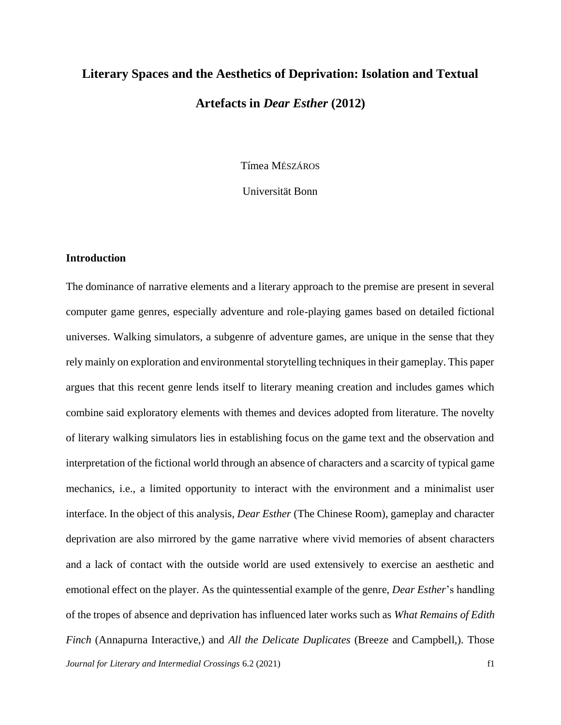# **Literary Spaces and the Aesthetics of Deprivation: Isolation and Textual Artefacts in** *Dear Esther* **(2012)**

Tímea MÉSZÁROS

Universität Bonn

# **Introduction**

*Journal for Literary and Intermedial Crossings* 6.2 (2021) f1 The dominance of narrative elements and a literary approach to the premise are present in several computer game genres, especially adventure and role-playing games based on detailed fictional universes. Walking simulators, a subgenre of adventure games, are unique in the sense that they rely mainly on exploration and environmental storytelling techniques in their gameplay. This paper argues that this recent genre lends itself to literary meaning creation and includes games which combine said exploratory elements with themes and devices adopted from literature. The novelty of literary walking simulators lies in establishing focus on the game text and the observation and interpretation of the fictional world through an absence of characters and a scarcity of typical game mechanics, i.e., a limited opportunity to interact with the environment and a minimalist user interface. In the object of this analysis, *Dear Esther* (The Chinese Room), gameplay and character deprivation are also mirrored by the game narrative where vivid memories of absent characters and a lack of contact with the outside world are used extensively to exercise an aesthetic and emotional effect on the player. As the quintessential example of the genre, *Dear Esther*'s handling of the tropes of absence and deprivation has influenced later works such as *What Remains of Edith Finch* (Annapurna Interactive,) and *All the Delicate Duplicates* (Breeze and Campbell,). Those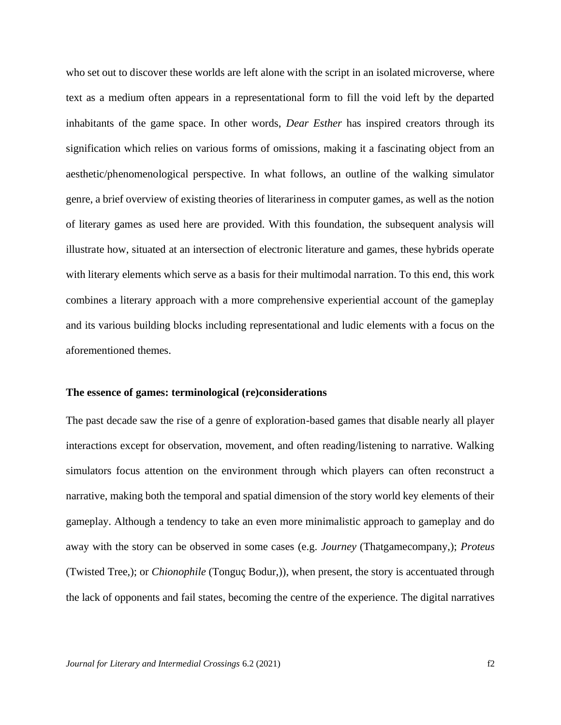who set out to discover these worlds are left alone with the script in an isolated microverse, where text as a medium often appears in a representational form to fill the void left by the departed inhabitants of the game space. In other words, *Dear Esther* has inspired creators through its signification which relies on various forms of omissions, making it a fascinating object from an aesthetic/phenomenological perspective. In what follows, an outline of the walking simulator genre, a brief overview of existing theories of literariness in computer games, as well as the notion of literary games as used here are provided. With this foundation, the subsequent analysis will illustrate how, situated at an intersection of electronic literature and games, these hybrids operate with literary elements which serve as a basis for their multimodal narration. To this end, this work combines a literary approach with a more comprehensive experiential account of the gameplay and its various building blocks including representational and ludic elements with a focus on the aforementioned themes.

## **The essence of games: terminological (re)considerations**

The past decade saw the rise of a genre of exploration-based games that disable nearly all player interactions except for observation, movement, and often reading/listening to narrative. Walking simulators focus attention on the environment through which players can often reconstruct a narrative, making both the temporal and spatial dimension of the story world key elements of their gameplay. Although a tendency to take an even more minimalistic approach to gameplay and do away with the story can be observed in some cases (e.g. *Journey* (Thatgamecompany,); *Proteus* (Twisted Tree,); or *Chionophile* (Tonguç Bodur,)), when present, the story is accentuated through the lack of opponents and fail states, becoming the centre of the experience. The digital narratives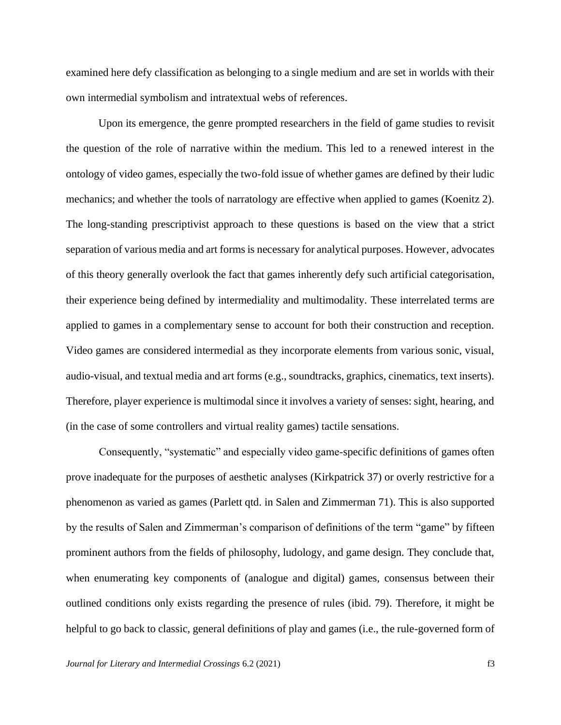examined here defy classification as belonging to a single medium and are set in worlds with their own intermedial symbolism and intratextual webs of references.

Upon its emergence, the genre prompted researchers in the field of game studies to revisit the question of the role of narrative within the medium. This led to a renewed interest in the ontology of video games, especially the two-fold issue of whether games are defined by their ludic mechanics; and whether the tools of narratology are effective when applied to games (Koenitz 2). The long-standing prescriptivist approach to these questions is based on the view that a strict separation of various media and art forms is necessary for analytical purposes. However, advocates of this theory generally overlook the fact that games inherently defy such artificial categorisation, their experience being defined by intermediality and multimodality. These interrelated terms are applied to games in a complementary sense to account for both their construction and reception. Video games are considered intermedial as they incorporate elements from various sonic, visual, audio-visual, and textual media and art forms (e.g., soundtracks, graphics, cinematics, text inserts). Therefore, player experience is multimodal since it involves a variety of senses: sight, hearing, and (in the case of some controllers and virtual reality games) tactile sensations.

Consequently, "systematic" and especially video game-specific definitions of games often prove inadequate for the purposes of aesthetic analyses (Kirkpatrick 37) or overly restrictive for a phenomenon as varied as games (Parlett qtd. in Salen and Zimmerman 71). This is also supported by the results of Salen and Zimmerman's comparison of definitions of the term "game" by fifteen prominent authors from the fields of philosophy, ludology, and game design. They conclude that, when enumerating key components of (analogue and digital) games, consensus between their outlined conditions only exists regarding the presence of rules (ibid. 79). Therefore, it might be helpful to go back to classic, general definitions of play and games (i.e., the rule-governed form of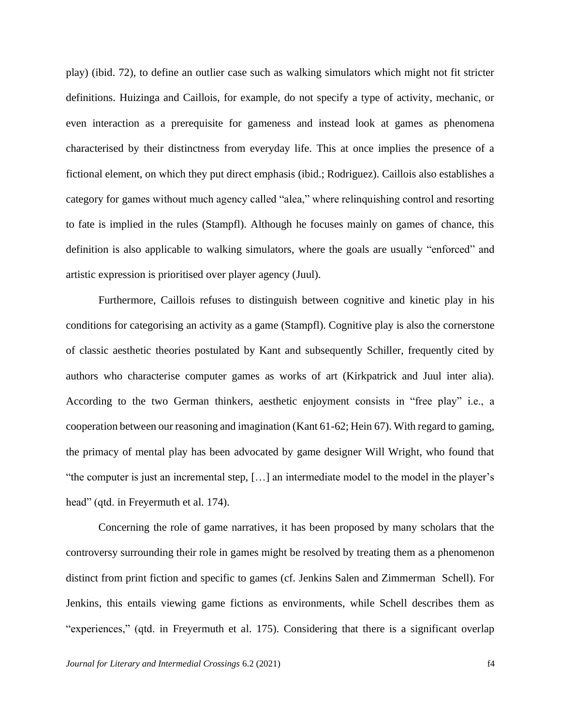play) (ibid. 72), to define an outlier case such as walking simulators which might not fit stricter definitions. Huizinga and Caillois, for example, do not specify a type of activity, mechanic, or even interaction as a prerequisite for gameness and instead look at games as phenomena characterised by their distinctness from everyday life. This at once implies the presence of a fictional element, on which they put direct emphasis (ibid.; Rodriguez). Caillois also establishes a category for games without much agency called "alea," where relinquishing control and resorting to fate is implied in the rules (Stampfl). Although he focuses mainly on games of chance, this definition is also applicable to walking simulators, where the goals are usually "enforced" and artistic expression is prioritised over player agency (Juul).

Furthermore, Caillois refuses to distinguish between cognitive and kinetic play in his conditions for categorising an activity as a game (Stampfl). Cognitive play is also the cornerstone of classic aesthetic theories postulated by Kant and subsequently Schiller, frequently cited by authors who characterise computer games as works of art (Kirkpatrick and Juul inter alia). According to the two German thinkers, aesthetic enjoyment consists in "free play" i.e., a cooperation between our reasoning and imagination (Kant 61-62; Hein 67). With regard to gaming, the primacy of mental play has been advocated by game designer Will Wright, who found that "the computer is just an incremental step, […] an intermediate model to the model in the player's head" (qtd. in Freyermuth et al. 174).

Concerning the role of game narratives, it has been proposed by many scholars that the controversy surrounding their role in games might be resolved by treating them as a phenomenon distinct from print fiction and specific to games (cf. Jenkins Salen and Zimmerman Schell). For Jenkins, this entails viewing game fictions as environments, while Schell describes them as "experiences," (qtd. in Freyermuth et al. 175). Considering that there is a significant overlap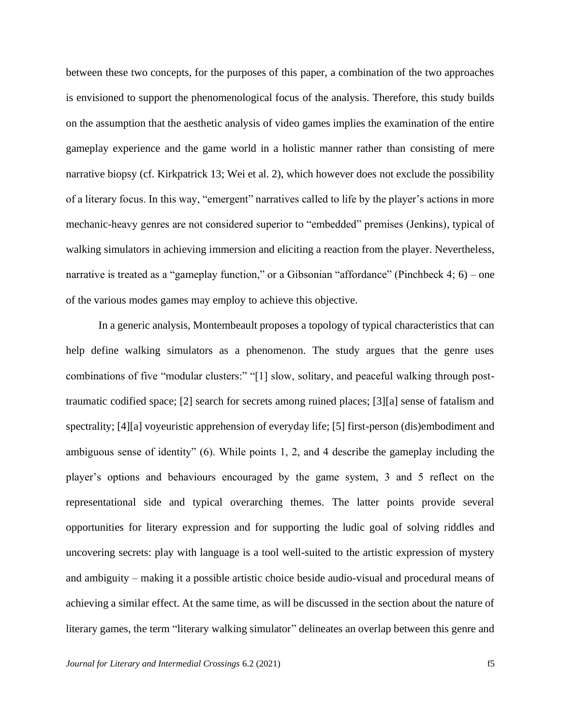between these two concepts, for the purposes of this paper, a combination of the two approaches is envisioned to support the phenomenological focus of the analysis. Therefore, this study builds on the assumption that the aesthetic analysis of video games implies the examination of the entire gameplay experience and the game world in a holistic manner rather than consisting of mere narrative biopsy (cf. Kirkpatrick 13; Wei et al. 2), which however does not exclude the possibility of a literary focus. In this way, "emergent" narratives called to life by the player's actions in more mechanic-heavy genres are not considered superior to "embedded" premises (Jenkins), typical of walking simulators in achieving immersion and eliciting a reaction from the player. Nevertheless, narrative is treated as a "gameplay function," or a Gibsonian "affordance" (Pinchbeck 4; 6) – one of the various modes games may employ to achieve this objective.

In a generic analysis, Montembeault proposes a topology of typical characteristics that can help define walking simulators as a phenomenon. The study argues that the genre uses combinations of five "modular clusters:" "[1] slow, solitary, and peaceful walking through posttraumatic codified space; [2] search for secrets among ruined places; [3][a] sense of fatalism and spectrality; [4][a] voyeuristic apprehension of everyday life; [5] first-person (dis)embodiment and ambiguous sense of identity" (6). While points 1, 2, and 4 describe the gameplay including the player's options and behaviours encouraged by the game system, 3 and 5 reflect on the representational side and typical overarching themes. The latter points provide several opportunities for literary expression and for supporting the ludic goal of solving riddles and uncovering secrets: play with language is a tool well-suited to the artistic expression of mystery and ambiguity – making it a possible artistic choice beside audio-visual and procedural means of achieving a similar effect. At the same time, as will be discussed in the section about the nature of literary games, the term "literary walking simulator" delineates an overlap between this genre and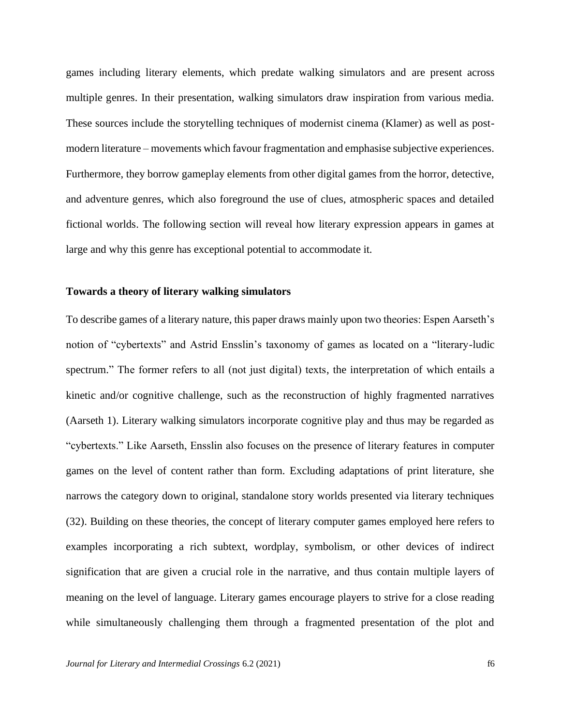games including literary elements, which predate walking simulators and are present across multiple genres. In their presentation, walking simulators draw inspiration from various media. These sources include the storytelling techniques of modernist cinema (Klamer) as well as postmodern literature – movements which favour fragmentation and emphasise subjective experiences. Furthermore, they borrow gameplay elements from other digital games from the horror, detective, and adventure genres, which also foreground the use of clues, atmospheric spaces and detailed fictional worlds. The following section will reveal how literary expression appears in games at large and why this genre has exceptional potential to accommodate it.

## **Towards a theory of literary walking simulators**

To describe games of a literary nature, this paper draws mainly upon two theories: Espen Aarseth's notion of "cybertexts" and Astrid Ensslin's taxonomy of games as located on a "literary-ludic spectrum." The former refers to all (not just digital) texts, the interpretation of which entails a kinetic and/or cognitive challenge, such as the reconstruction of highly fragmented narratives (Aarseth 1). Literary walking simulators incorporate cognitive play and thus may be regarded as "cybertexts." Like Aarseth, Ensslin also focuses on the presence of literary features in computer games on the level of content rather than form. Excluding adaptations of print literature, she narrows the category down to original, standalone story worlds presented via literary techniques (32). Building on these theories, the concept of literary computer games employed here refers to examples incorporating a rich subtext, wordplay, symbolism, or other devices of indirect signification that are given a crucial role in the narrative, and thus contain multiple layers of meaning on the level of language. Literary games encourage players to strive for a close reading while simultaneously challenging them through a fragmented presentation of the plot and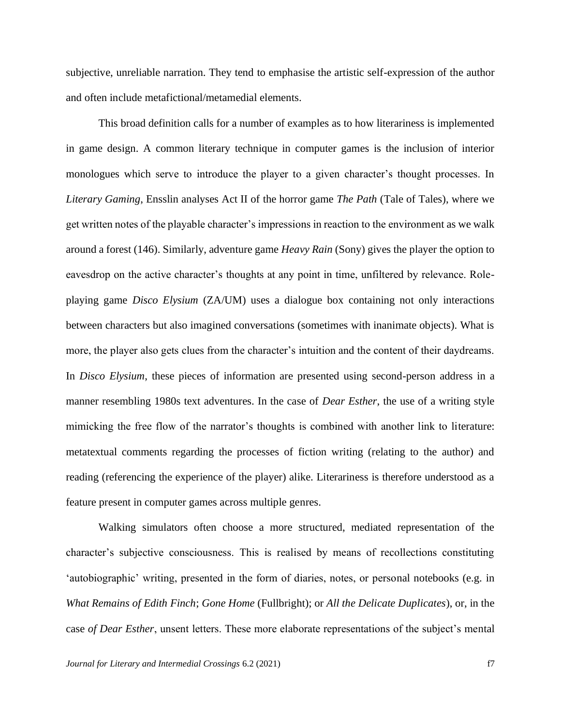subjective, unreliable narration. They tend to emphasise the artistic self-expression of the author and often include metafictional/metamedial elements.

This broad definition calls for a number of examples as to how literariness is implemented in game design. A common literary technique in computer games is the inclusion of interior monologues which serve to introduce the player to a given character's thought processes. In *Literary Gaming*, Ensslin analyses Act II of the horror game *The Path* (Tale of Tales), where we get written notes of the playable character's impressions in reaction to the environment as we walk around a forest (146). Similarly, adventure game *Heavy Rain* (Sony) gives the player the option to eavesdrop on the active character's thoughts at any point in time, unfiltered by relevance. Roleplaying game *Disco Elysium* (ZA/UM) uses a dialogue box containing not only interactions between characters but also imagined conversations (sometimes with inanimate objects). What is more, the player also gets clues from the character's intuition and the content of their daydreams. In *Disco Elysium*, these pieces of information are presented using second-person address in a manner resembling 1980s text adventures. In the case of *Dear Esther*, the use of a writing style mimicking the free flow of the narrator's thoughts is combined with another link to literature: metatextual comments regarding the processes of fiction writing (relating to the author) and reading (referencing the experience of the player) alike. Literariness is therefore understood as a feature present in computer games across multiple genres.

Walking simulators often choose a more structured, mediated representation of the character's subjective consciousness. This is realised by means of recollections constituting 'autobiographic' writing, presented in the form of diaries, notes, or personal notebooks (e.g. in *What Remains of Edith Finch*; *Gone Home* (Fullbright); or *All the Delicate Duplicates*), or, in the case *of Dear Esther*, unsent letters. These more elaborate representations of the subject's mental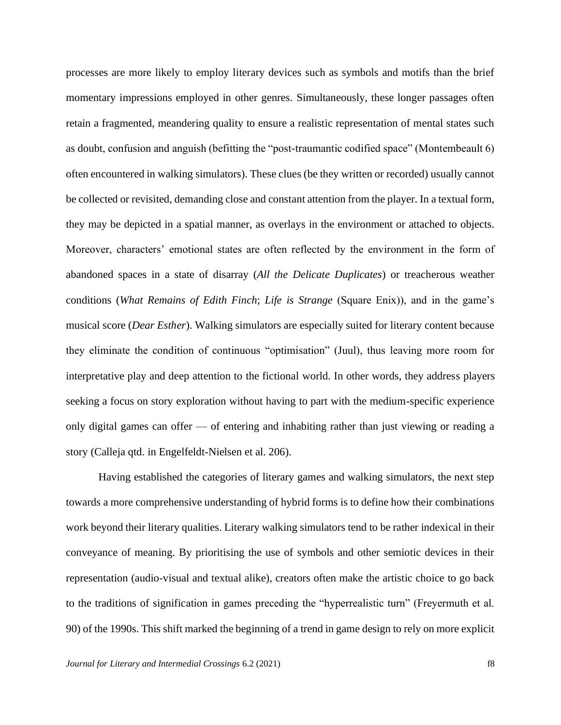processes are more likely to employ literary devices such as symbols and motifs than the brief momentary impressions employed in other genres. Simultaneously, these longer passages often retain a fragmented, meandering quality to ensure a realistic representation of mental states such as doubt, confusion and anguish (befitting the "post-traumantic codified space" (Montembeault 6) often encountered in walking simulators). These clues (be they written or recorded) usually cannot be collected or revisited, demanding close and constant attention from the player. In a textual form, they may be depicted in a spatial manner, as overlays in the environment or attached to objects. Moreover, characters' emotional states are often reflected by the environment in the form of abandoned spaces in a state of disarray (*All the Delicate Duplicates*) or treacherous weather conditions (*What Remains of Edith Finch*; *Life is Strange* (Square Enix)), and in the game's musical score (*Dear Esther*). Walking simulators are especially suited for literary content because they eliminate the condition of continuous "optimisation" (Juul), thus leaving more room for interpretative play and deep attention to the fictional world. In other words, they address players seeking a focus on story exploration without having to part with the medium-specific experience only digital games can offer — of entering and inhabiting rather than just viewing or reading a story (Calleja qtd. in Engelfeldt-Nielsen et al. 206).

Having established the categories of literary games and walking simulators, the next step towards a more comprehensive understanding of hybrid forms is to define how their combinations work beyond their literary qualities. Literary walking simulators tend to be rather indexical in their conveyance of meaning. By prioritising the use of symbols and other semiotic devices in their representation (audio-visual and textual alike), creators often make the artistic choice to go back to the traditions of signification in games preceding the "hyperrealistic turn" (Freyermuth et al. 90) of the 1990s. This shift marked the beginning of a trend in game design to rely on more explicit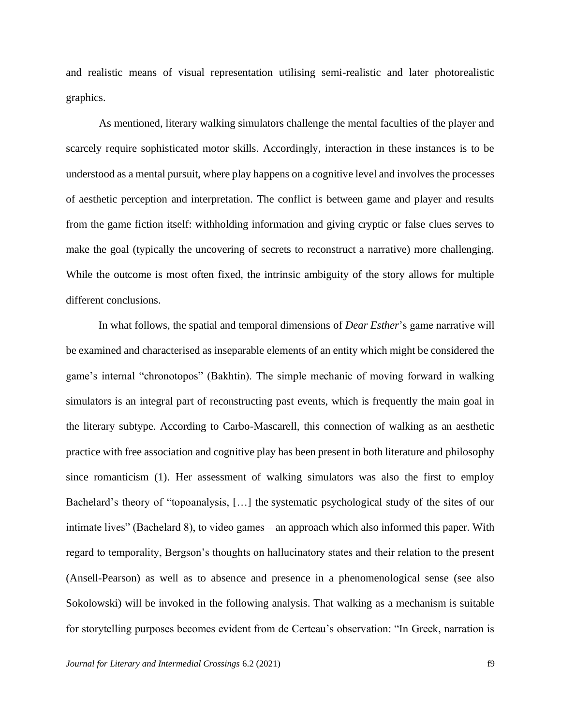and realistic means of visual representation utilising semi-realistic and later photorealistic graphics.

As mentioned, literary walking simulators challenge the mental faculties of the player and scarcely require sophisticated motor skills. Accordingly, interaction in these instances is to be understood as a mental pursuit, where play happens on a cognitive level and involves the processes of aesthetic perception and interpretation. The conflict is between game and player and results from the game fiction itself: withholding information and giving cryptic or false clues serves to make the goal (typically the uncovering of secrets to reconstruct a narrative) more challenging. While the outcome is most often fixed, the intrinsic ambiguity of the story allows for multiple different conclusions.

In what follows, the spatial and temporal dimensions of *Dear Esther*'s game narrative will be examined and characterised as inseparable elements of an entity which might be considered the game's internal "chronotopos" (Bakhtin). The simple mechanic of moving forward in walking simulators is an integral part of reconstructing past events, which is frequently the main goal in the literary subtype. According to Carbo-Mascarell, this connection of walking as an aesthetic practice with free association and cognitive play has been present in both literature and philosophy since romanticism (1). Her assessment of walking simulators was also the first to employ Bachelard's theory of "topoanalysis, […] the systematic psychological study of the sites of our intimate lives" (Bachelard 8), to video games – an approach which also informed this paper. With regard to temporality, Bergson's thoughts on hallucinatory states and their relation to the present (Ansell-Pearson) as well as to absence and presence in a phenomenological sense (see also Sokolowski) will be invoked in the following analysis. That walking as a mechanism is suitable for storytelling purposes becomes evident from de Certeau's observation: "In Greek, narration is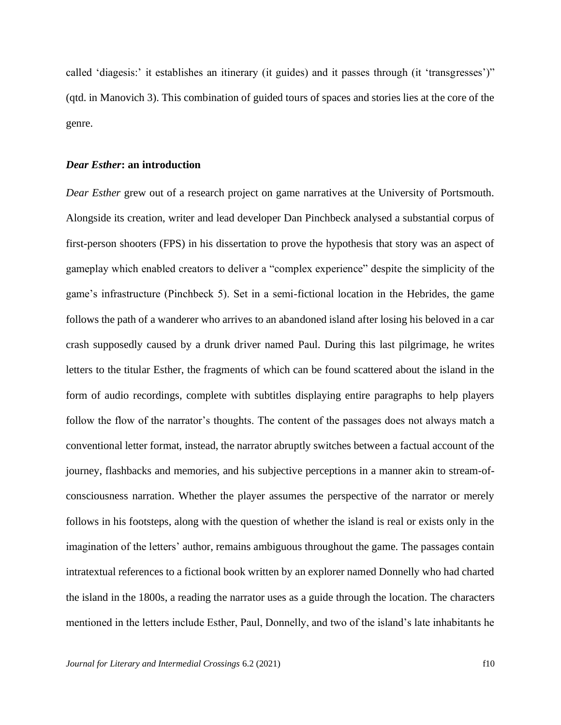called 'diagesis:' it establishes an itinerary (it guides) and it passes through (it 'transgresses')" (qtd. in Manovich 3). This combination of guided tours of spaces and stories lies at the core of the genre.

#### *Dear Esther***: an introduction**

*Dear Esther* grew out of a research project on game narratives at the University of Portsmouth. Alongside its creation, writer and lead developer Dan Pinchbeck analysed a substantial corpus of first-person shooters (FPS) in his dissertation to prove the hypothesis that story was an aspect of gameplay which enabled creators to deliver a "complex experience" despite the simplicity of the game's infrastructure (Pinchbeck 5). Set in a semi-fictional location in the Hebrides, the game follows the path of a wanderer who arrives to an abandoned island after losing his beloved in a car crash supposedly caused by a drunk driver named Paul. During this last pilgrimage, he writes letters to the titular Esther, the fragments of which can be found scattered about the island in the form of audio recordings, complete with subtitles displaying entire paragraphs to help players follow the flow of the narrator's thoughts. The content of the passages does not always match a conventional letter format, instead, the narrator abruptly switches between a factual account of the journey, flashbacks and memories, and his subjective perceptions in a manner akin to stream-ofconsciousness narration. Whether the player assumes the perspective of the narrator or merely follows in his footsteps, along with the question of whether the island is real or exists only in the imagination of the letters' author, remains ambiguous throughout the game. The passages contain intratextual references to a fictional book written by an explorer named Donnelly who had charted the island in the 1800s, a reading the narrator uses as a guide through the location. The characters mentioned in the letters include Esther, Paul, Donnelly, and two of the island's late inhabitants he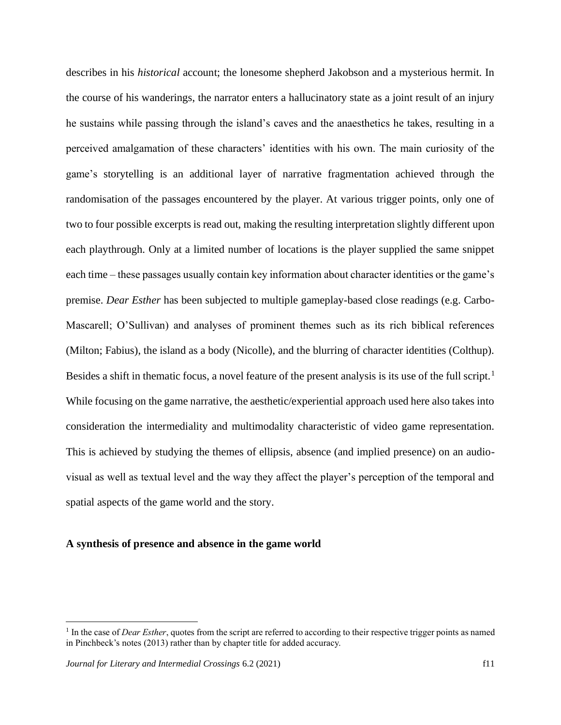describes in his *historical* account; the lonesome shepherd Jakobson and a mysterious hermit. In the course of his wanderings, the narrator enters a hallucinatory state as a joint result of an injury he sustains while passing through the island's caves and the anaesthetics he takes, resulting in a perceived amalgamation of these characters' identities with his own. The main curiosity of the game's storytelling is an additional layer of narrative fragmentation achieved through the randomisation of the passages encountered by the player. At various trigger points, only one of two to four possible excerpts is read out, making the resulting interpretation slightly different upon each playthrough. Only at a limited number of locations is the player supplied the same snippet each time – these passages usually contain key information about character identities or the game's premise. *Dear Esther* has been subjected to multiple gameplay-based close readings (e.g. Carbo-Mascarell; O'Sullivan) and analyses of prominent themes such as its rich biblical references (Milton; Fabius), the island as a body (Nicolle), and the blurring of character identities (Colthup). Besides a shift in thematic focus, a novel feature of the present analysis is its use of the full script.<sup>1</sup> While focusing on the game narrative, the aesthetic/experiential approach used here also takes into consideration the intermediality and multimodality characteristic of video game representation. This is achieved by studying the themes of ellipsis, absence (and implied presence) on an audiovisual as well as textual level and the way they affect the player's perception of the temporal and spatial aspects of the game world and the story.

# **A synthesis of presence and absence in the game world**

<sup>&</sup>lt;sup>1</sup> In the case of *Dear Esther*, quotes from the script are referred to according to their respective trigger points as named in Pinchbeck's notes (2013) rather than by chapter title for added accuracy.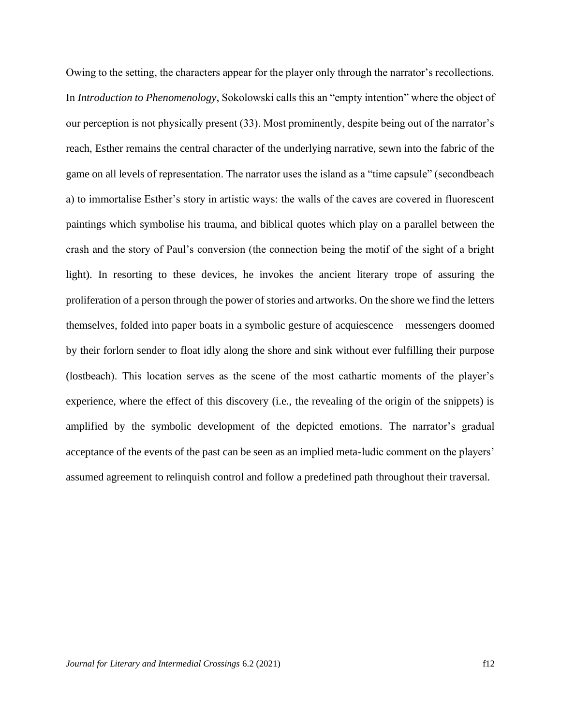Owing to the setting, the characters appear for the player only through the narrator's recollections. In *Introduction to Phenomenology*, Sokolowski calls this an "empty intention" where the object of our perception is not physically present (33). Most prominently, despite being out of the narrator's reach, Esther remains the central character of the underlying narrative, sewn into the fabric of the game on all levels of representation. The narrator uses the island as a "time capsule" (secondbeach a) to immortalise Esther's story in artistic ways: the walls of the caves are covered in fluorescent paintings which symbolise his trauma, and biblical quotes which play on a parallel between the crash and the story of Paul's conversion (the connection being the motif of the sight of a bright light). In resorting to these devices, he invokes the ancient literary trope of assuring the proliferation of a person through the power of stories and artworks. On the shore we find the letters themselves, folded into paper boats in a symbolic gesture of acquiescence – messengers doomed by their forlorn sender to float idly along the shore and sink without ever fulfilling their purpose (lostbeach). This location serves as the scene of the most cathartic moments of the player's experience, where the effect of this discovery (i.e., the revealing of the origin of the snippets) is amplified by the symbolic development of the depicted emotions. The narrator's gradual acceptance of the events of the past can be seen as an implied meta-ludic comment on the players' assumed agreement to relinquish control and follow a predefined path throughout their traversal.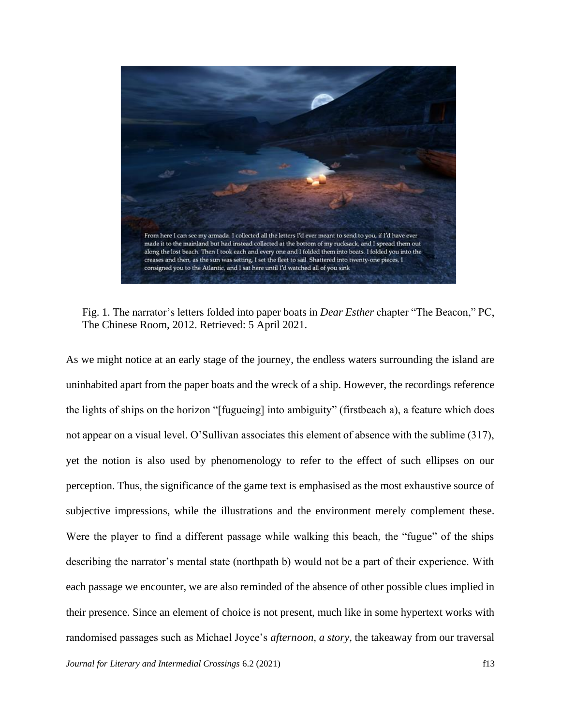

Fig. 1. The narrator's letters folded into paper boats in *Dear Esther* chapter "The Beacon," PC, The Chinese Room, 2012. Retrieved: 5 April 2021.

As we might notice at an early stage of the journey, the endless waters surrounding the island are uninhabited apart from the paper boats and the wreck of a ship. However, the recordings reference the lights of ships on the horizon "[fugueing] into ambiguity" (firstbeach a), a feature which does not appear on a visual level. O'Sullivan associates this element of absence with the sublime (317), yet the notion is also used by phenomenology to refer to the effect of such ellipses on our perception. Thus, the significance of the game text is emphasised as the most exhaustive source of subjective impressions, while the illustrations and the environment merely complement these. Were the player to find a different passage while walking this beach, the "fugue" of the ships describing the narrator's mental state (northpath b) would not be a part of their experience. With each passage we encounter, we are also reminded of the absence of other possible clues implied in their presence. Since an element of choice is not present, much like in some hypertext works with randomised passages such as Michael Joyce's *afternoon, a story*, the takeaway from our traversal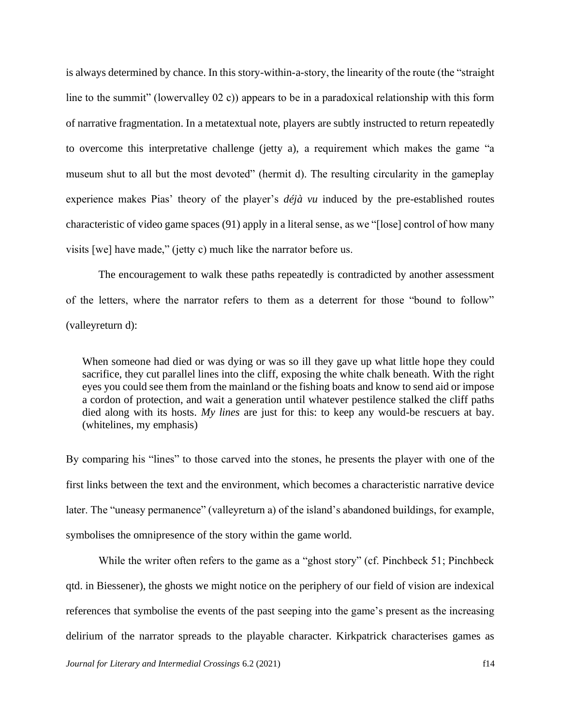is always determined by chance. In this story-within-a-story, the linearity of the route (the "straight line to the summit" (lowervalley 02 c)) appears to be in a paradoxical relationship with this form of narrative fragmentation. In a metatextual note, players are subtly instructed to return repeatedly to overcome this interpretative challenge (jetty a), a requirement which makes the game "a museum shut to all but the most devoted" (hermit d). The resulting circularity in the gameplay experience makes Pias' theory of the player's *déjà vu* induced by the pre-established routes characteristic of video game spaces (91) apply in a literal sense, as we "[lose] control of how many visits [we] have made," (jetty c) much like the narrator before us.

The encouragement to walk these paths repeatedly is contradicted by another assessment of the letters, where the narrator refers to them as a deterrent for those "bound to follow" (valleyreturn d):

When someone had died or was dying or was so ill they gave up what little hope they could sacrifice, they cut parallel lines into the cliff, exposing the white chalk beneath. With the right eyes you could see them from the mainland or the fishing boats and know to send aid or impose a cordon of protection, and wait a generation until whatever pestilence stalked the cliff paths died along with its hosts. *My lines* are just for this: to keep any would-be rescuers at bay. (whitelines, my emphasis)

By comparing his "lines" to those carved into the stones, he presents the player with one of the first links between the text and the environment, which becomes a characteristic narrative device later. The "uneasy permanence" (valleyreturn a) of the island's abandoned buildings, for example, symbolises the omnipresence of the story within the game world.

While the writer often refers to the game as a "ghost story" (cf. Pinchbeck 51; Pinchbeck qtd. in Biessener), the ghosts we might notice on the periphery of our field of vision are indexical references that symbolise the events of the past seeping into the game's present as the increasing delirium of the narrator spreads to the playable character. Kirkpatrick characterises games as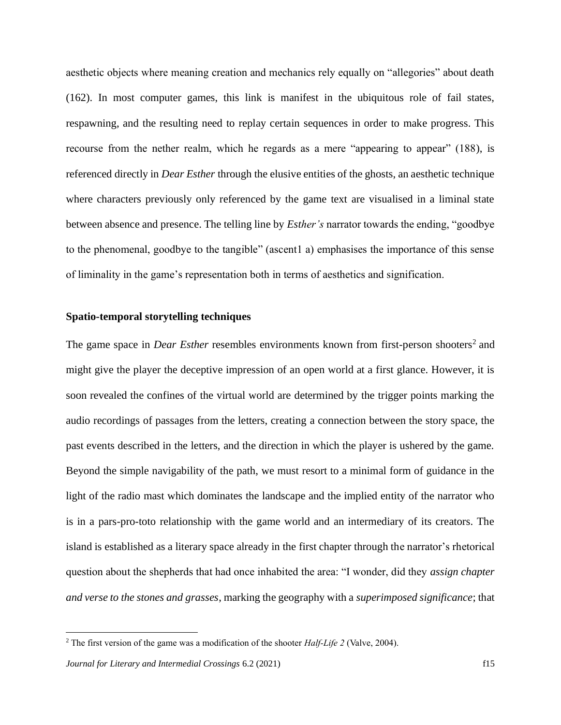aesthetic objects where meaning creation and mechanics rely equally on "allegories" about death (162). In most computer games, this link is manifest in the ubiquitous role of fail states, respawning, and the resulting need to replay certain sequences in order to make progress. This recourse from the nether realm, which he regards as a mere "appearing to appear" (188), is referenced directly in *Dear Esther* through the elusive entities of the ghosts, an aesthetic technique where characters previously only referenced by the game text are visualised in a liminal state between absence and presence. The telling line by *Esther's* narrator towards the ending, "goodbye to the phenomenal, goodbye to the tangible" (ascent1 a) emphasises the importance of this sense of liminality in the game's representation both in terms of aesthetics and signification.

## **Spatio-temporal storytelling techniques**

The game space in *Dear Esther* resembles environments known from first-person shooters<sup>2</sup> and might give the player the deceptive impression of an open world at a first glance. However, it is soon revealed the confines of the virtual world are determined by the trigger points marking the audio recordings of passages from the letters, creating a connection between the story space, the past events described in the letters, and the direction in which the player is ushered by the game. Beyond the simple navigability of the path, we must resort to a minimal form of guidance in the light of the radio mast which dominates the landscape and the implied entity of the narrator who is in a pars-pro-toto relationship with the game world and an intermediary of its creators. The island is established as a literary space already in the first chapter through the narrator's rhetorical question about the shepherds that had once inhabited the area: "I wonder, did they *assign chapter and verse to the stones and grasses*, marking the geography with a *superimposed significance*; that

<sup>2</sup> The first version of the game was a modification of the shooter *Half-Life 2* (Valve, 2004).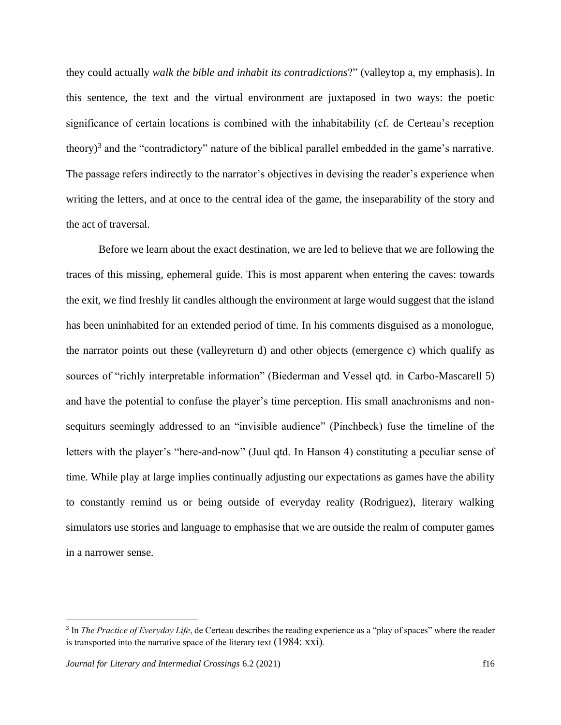they could actually *walk the bible and inhabit its contradictions*?" (valleytop a, my emphasis). In this sentence, the text and the virtual environment are juxtaposed in two ways: the poetic significance of certain locations is combined with the inhabitability (cf. de Certeau's reception theory)<sup>3</sup> and the "contradictory" nature of the biblical parallel embedded in the game's narrative. The passage refers indirectly to the narrator's objectives in devising the reader's experience when writing the letters, and at once to the central idea of the game, the inseparability of the story and the act of traversal.

Before we learn about the exact destination, we are led to believe that we are following the traces of this missing, ephemeral guide. This is most apparent when entering the caves: towards the exit, we find freshly lit candles although the environment at large would suggest that the island has been uninhabited for an extended period of time. In his comments disguised as a monologue, the narrator points out these (valleyreturn d) and other objects (emergence c) which qualify as sources of "richly interpretable information" (Biederman and Vessel qtd. in Carbo-Mascarell 5) and have the potential to confuse the player's time perception. His small anachronisms and nonsequiturs seemingly addressed to an "invisible audience" (Pinchbeck) fuse the timeline of the letters with the player's "here-and-now" (Juul qtd. In Hanson 4) constituting a peculiar sense of time. While play at large implies continually adjusting our expectations as games have the ability to constantly remind us or being outside of everyday reality (Rodriguez), literary walking simulators use stories and language to emphasise that we are outside the realm of computer games in a narrower sense.

<sup>3</sup> In *The Practice of Everyday Life*, de Certeau describes the reading experience as a "play of spaces" where the reader is transported into the narrative space of the literary text (1984: xxi).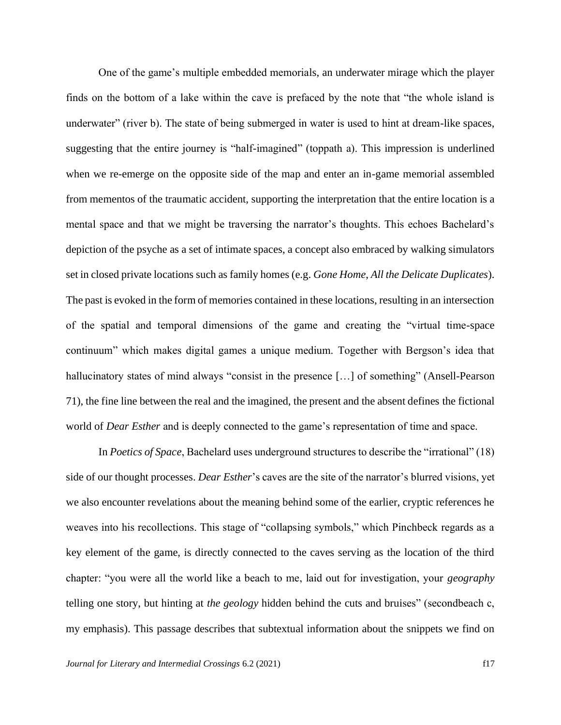One of the game's multiple embedded memorials, an underwater mirage which the player finds on the bottom of a lake within the cave is prefaced by the note that "the whole island is underwater" (river b). The state of being submerged in water is used to hint at dream-like spaces, suggesting that the entire journey is "half-imagined" (toppath a). This impression is underlined when we re-emerge on the opposite side of the map and enter an in-game memorial assembled from mementos of the traumatic accident, supporting the interpretation that the entire location is a mental space and that we might be traversing the narrator's thoughts. This echoes Bachelard's depiction of the psyche as a set of intimate spaces, a concept also embraced by walking simulators set in closed private locations such as family homes (e.g. *Gone Home*, *All the Delicate Duplicates*). The past is evoked in the form of memories contained in these locations, resulting in an intersection of the spatial and temporal dimensions of the game and creating the "virtual time-space continuum" which makes digital games a unique medium. Together with Bergson's idea that hallucinatory states of mind always "consist in the presence [...] of something" (Ansell-Pearson 71), the fine line between the real and the imagined, the present and the absent defines the fictional world of *Dear Esther* and is deeply connected to the game's representation of time and space.

In *Poetics of Space*, Bachelard uses underground structures to describe the "irrational" (18) side of our thought processes. *Dear Esther*'s caves are the site of the narrator's blurred visions, yet we also encounter revelations about the meaning behind some of the earlier, cryptic references he weaves into his recollections. This stage of "collapsing symbols," which Pinchbeck regards as a key element of the game, is directly connected to the caves serving as the location of the third chapter: "you were all the world like a beach to me, laid out for investigation, your *geography* telling one story, but hinting at *the geology* hidden behind the cuts and bruises" (secondbeach c, my emphasis). This passage describes that subtextual information about the snippets we find on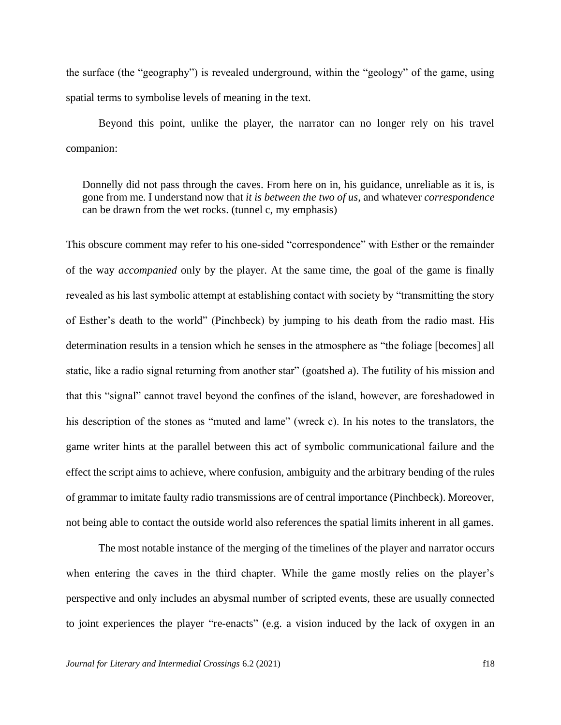the surface (the "geography") is revealed underground, within the "geology" of the game, using spatial terms to symbolise levels of meaning in the text.

Beyond this point, unlike the player, the narrator can no longer rely on his travel companion:

Donnelly did not pass through the caves. From here on in, his guidance, unreliable as it is, is gone from me. I understand now that *it is between the two of us*, and whatever *correspondence* can be drawn from the wet rocks. (tunnel c, my emphasis)

This obscure comment may refer to his one-sided "correspondence" with Esther or the remainder of the way *accompanied* only by the player. At the same time, the goal of the game is finally revealed as his last symbolic attempt at establishing contact with society by "transmitting the story of Esther's death to the world" (Pinchbeck) by jumping to his death from the radio mast. His determination results in a tension which he senses in the atmosphere as "the foliage [becomes] all static, like a radio signal returning from another star" (goatshed a). The futility of his mission and that this "signal" cannot travel beyond the confines of the island, however, are foreshadowed in his description of the stones as "muted and lame" (wreck c). In his notes to the translators, the game writer hints at the parallel between this act of symbolic communicational failure and the effect the script aims to achieve, where confusion, ambiguity and the arbitrary bending of the rules of grammar to imitate faulty radio transmissions are of central importance (Pinchbeck). Moreover, not being able to contact the outside world also references the spatial limits inherent in all games.

The most notable instance of the merging of the timelines of the player and narrator occurs when entering the caves in the third chapter. While the game mostly relies on the player's perspective and only includes an abysmal number of scripted events, these are usually connected to joint experiences the player "re-enacts" (e.g. a vision induced by the lack of oxygen in an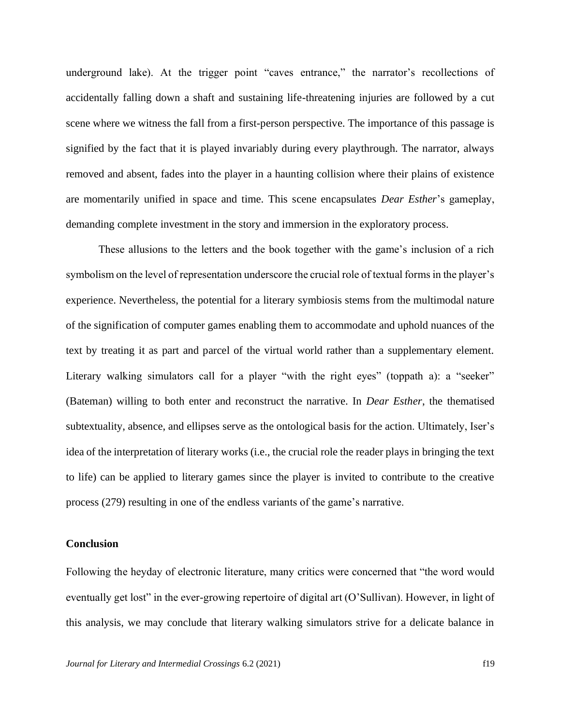underground lake). At the trigger point "caves entrance," the narrator's recollections of accidentally falling down a shaft and sustaining life-threatening injuries are followed by a cut scene where we witness the fall from a first-person perspective. The importance of this passage is signified by the fact that it is played invariably during every playthrough. The narrator, always removed and absent, fades into the player in a haunting collision where their plains of existence are momentarily unified in space and time. This scene encapsulates *Dear Esther*'s gameplay, demanding complete investment in the story and immersion in the exploratory process.

These allusions to the letters and the book together with the game's inclusion of a rich symbolism on the level of representation underscore the crucial role of textual forms in the player's experience. Nevertheless, the potential for a literary symbiosis stems from the multimodal nature of the signification of computer games enabling them to accommodate and uphold nuances of the text by treating it as part and parcel of the virtual world rather than a supplementary element. Literary walking simulators call for a player "with the right eyes" (toppath a): a "seeker" (Bateman) willing to both enter and reconstruct the narrative. In *Dear Esther*, the thematised subtextuality, absence, and ellipses serve as the ontological basis for the action. Ultimately, Iser's idea of the interpretation of literary works (i.e., the crucial role the reader plays in bringing the text to life) can be applied to literary games since the player is invited to contribute to the creative process (279) resulting in one of the endless variants of the game's narrative.

#### **Conclusion**

Following the heyday of electronic literature, many critics were concerned that "the word would eventually get lost" in the ever-growing repertoire of digital art (O'Sullivan). However, in light of this analysis, we may conclude that literary walking simulators strive for a delicate balance in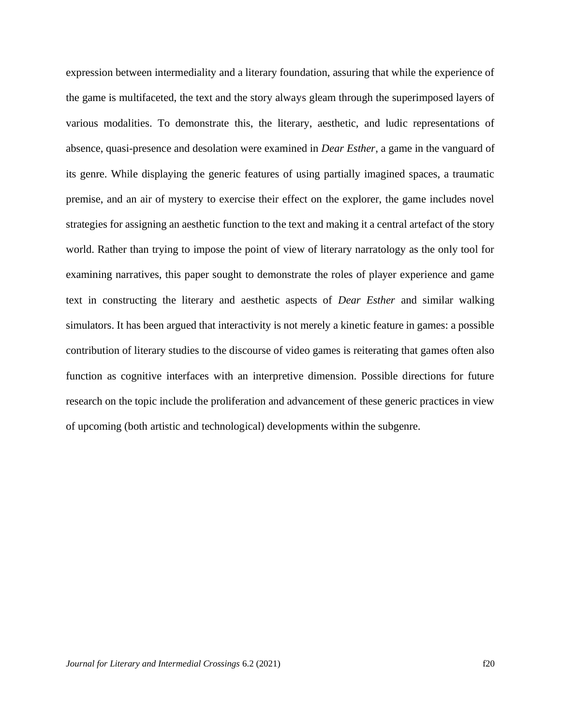expression between intermediality and a literary foundation, assuring that while the experience of the game is multifaceted, the text and the story always gleam through the superimposed layers of various modalities. To demonstrate this, the literary, aesthetic, and ludic representations of absence, quasi-presence and desolation were examined in *Dear Esther*, a game in the vanguard of its genre. While displaying the generic features of using partially imagined spaces, a traumatic premise, and an air of mystery to exercise their effect on the explorer, the game includes novel strategies for assigning an aesthetic function to the text and making it a central artefact of the story world. Rather than trying to impose the point of view of literary narratology as the only tool for examining narratives, this paper sought to demonstrate the roles of player experience and game text in constructing the literary and aesthetic aspects of *Dear Esther* and similar walking simulators. It has been argued that interactivity is not merely a kinetic feature in games: a possible contribution of literary studies to the discourse of video games is reiterating that games often also function as cognitive interfaces with an interpretive dimension. Possible directions for future research on the topic include the proliferation and advancement of these generic practices in view of upcoming (both artistic and technological) developments within the subgenre.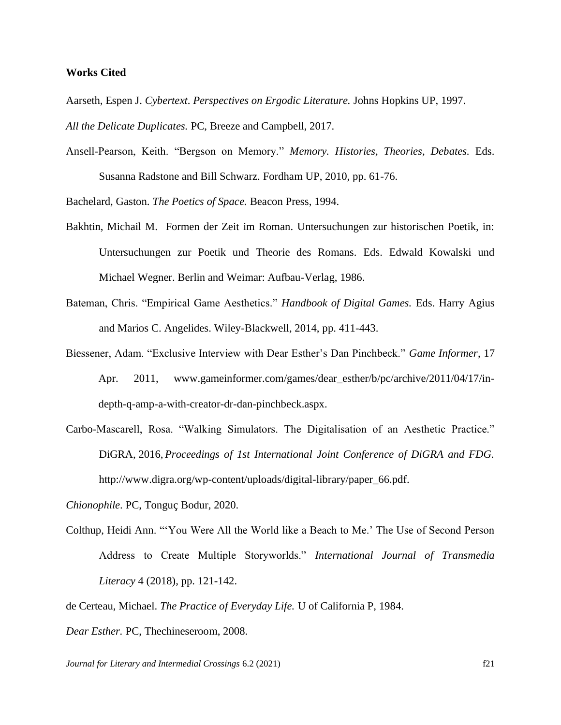## **Works Cited**

- Aarseth, Espen J. *Cybertext*. *Perspectives on Ergodic Literature.* Johns Hopkins UP, 1997. *All the Delicate Duplicates.* PC, Breeze and Campbell, 2017.
- Ansell-Pearson, Keith. "Bergson on Memory." *Memory. Histories, Theories, Debates.* Eds. Susanna Radstone and Bill Schwarz. Fordham UP, 2010, pp. 61-76.

Bachelard, Gaston. *The Poetics of Space.* Beacon Press, 1994.

- Bakhtin, Michail M. Formen der Zeit im Roman. Untersuchungen zur historischen Poetik, in: Untersuchungen zur Poetik und Theorie des Romans. Eds. Edwald Kowalski und Michael Wegner. Berlin and Weimar: Aufbau-Verlag, 1986.
- Bateman, Chris. "Empirical Game Aesthetics." *Handbook of Digital Games.* Eds. Harry Agius and Marios C. Angelides. Wiley-Blackwell, 2014, pp. 411-443.
- Biessener, Adam. "Exclusive Interview with Dear Esther's Dan Pinchbeck." *Game Informer*, 17 Apr. 2011, www.gameinformer.com/games/dear\_esther/b/pc/archive/2011/04/17/indepth-q-amp-a-with-creator-dr-dan-pinchbeck.aspx.
- Carbo-Mascarell, Rosa. "Walking Simulators. The Digitalisation of an Aesthetic Practice." DiGRA, 2016,*Proceedings of 1st International Joint Conference of DiGRA and FDG.* http://www.digra.org/wp-content/uploads/digital-library/paper\_66.pdf.
- *Chionophile*. PC, Tonguç Bodur, 2020.
- Colthup, Heidi Ann. "'You Were All the World like a Beach to Me.' The Use of Second Person Address to Create Multiple Storyworlds." *International Journal of Transmedia Literacy* 4 (2018), pp. 121-142.
- de Certeau, Michael. *The Practice of Everyday Life.* U of California P, 1984.
- *Dear Esther.* PC, Thechineseroom, 2008.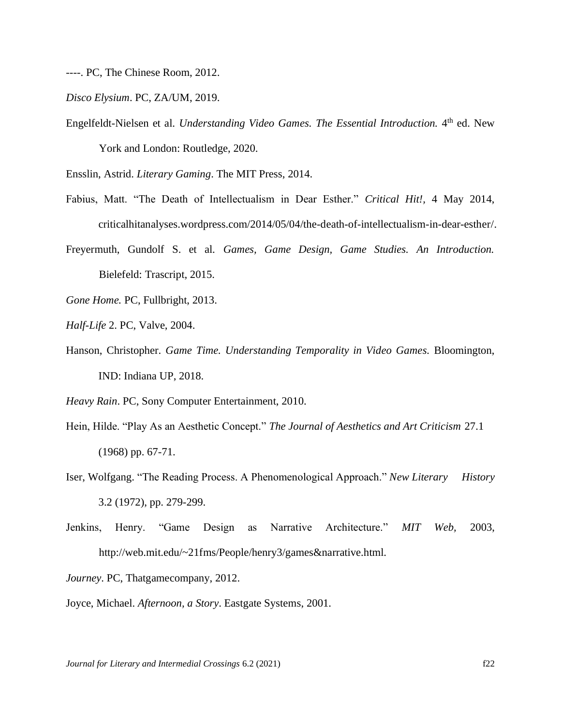----. PC, The Chinese Room, 2012.

*Disco Elysium*. PC, ZA/UM, 2019.

Engelfeldt-Nielsen et al. *Understanding Video Games. The Essential Introduction*. 4<sup>th</sup> ed. New York and London: Routledge, 2020.

Ensslin, Astrid. *Literary Gaming*. The MIT Press, 2014.

- Fabius, Matt. "The Death of Intellectualism in Dear Esther." *Critical Hit!,* 4 May 2014, criticalhitanalyses.wordpress.com/2014/05/04/the-death-of-intellectualism-in-dear-esther/.
- Freyermuth, Gundolf S. et al. *Games, Game Design, Game Studies. An Introduction.* Bielefeld: Trascript, 2015.
- *Gone Home.* PC, Fullbright, 2013.
- *Half-Life* 2. PC, Valve, 2004.
- Hanson, Christopher. *Game Time. Understanding Temporality in Video Games.* Bloomington, IND: Indiana UP, 2018.
- *Heavy Rain*. PC, Sony Computer Entertainment, 2010.
- Hein, Hilde. "Play As an Aesthetic Concept." *The Journal of Aesthetics and Art Criticism* 27.1 (1968) pp. 67-71.
- Iser, Wolfgang. "The Reading Process. A Phenomenological Approach." *New Literary History* 3.2 (1972), pp. 279-299.
- Jenkins, Henry. "Game Design as Narrative Architecture." *MIT Web,* 2003, http://web.mit.edu/~21fms/People/henry3/games&narrative.html.

*Journey*. PC, Thatgamecompany, 2012.

Joyce, Michael. *Afternoon, a Story*. Eastgate Systems, 2001.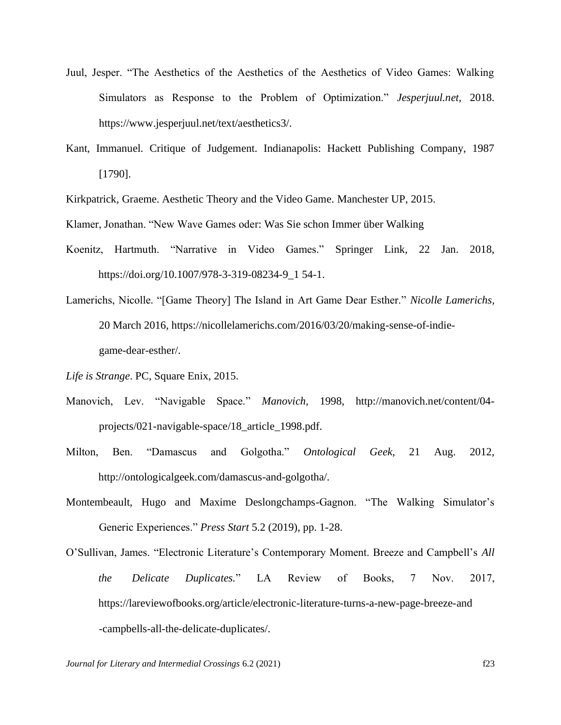- Juul, Jesper. "The Aesthetics of the Aesthetics of the Aesthetics of Video Games: Walking Simulators as Response to the Problem of Optimization." *Jesperjuul.net,* 2018. https://www.jesperjuul.net/text/aesthetics3/.
- Kant, Immanuel. Critique of Judgement. Indianapolis: Hackett Publishing Company, 1987 [1790].

Kirkpatrick, Graeme. Aesthetic Theory and the Video Game. Manchester UP, 2015.

Klamer, Jonathan. "New Wave Games oder: Was Sie schon Immer über Walking

- Koenitz, Hartmuth. "Narrative in Video Games." Springer Link, 22 Jan. 2018, https://doi.org/10.1007/978-3-319-08234-9\_1 54-1.
- Lamerichs, Nicolle. "[Game Theory] The Island in Art Game Dear Esther." *Nicolle Lamerichs,* 20 March 2016, https://nicollelamerichs.com/2016/03/20/making-sense-of-indiegame-dear-esther/.
- *Life is Strange*. PC, Square Enix, 2015.
- Manovich, Lev. "Navigable Space." *Manovich*, 1998, http://manovich.net/content/04 projects/021-navigable-space/18\_article\_1998.pdf.
- Milton, Ben. "Damascus and Golgotha." *Ontological Geek*, 21 Aug. 2012, http://ontologicalgeek.com/damascus-and-golgotha/.
- Montembeault, Hugo and Maxime Deslongchamps-Gagnon. "The Walking Simulator's Generic Experiences." *Press Start* 5.2 (2019), pp. 1-28.
- O'Sullivan, James. "Electronic Literature's Contemporary Moment. Breeze and Campbell's *All the Delicate Duplicates.*" LA Review of Books, 7 Nov. 2017, https://lareviewofbooks.org/article/electronic-literature-turns-a-new-page-breeze-and -campbells-all-the-delicate-duplicates/.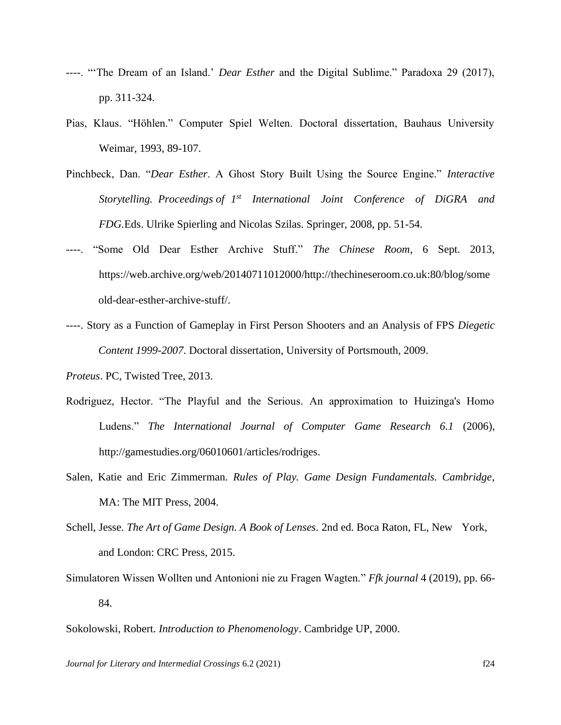- ----. "'The Dream of an Island.' *Dear Esther* and the Digital Sublime." Paradoxa 29 (2017), pp. 311-324.
- Pias, Klaus. "Höhlen." Computer Spiel Welten. Doctoral dissertation, Bauhaus University Weimar, 1993, 89-107.
- Pinchbeck, Dan. "*Dear Esther*. A Ghost Story Built Using the Source Engine." *Interactive Storytelling. Proceedings of 1 st International Joint Conference of DiGRA and FDG.*Eds. Ulrike Spierling and Nicolas Szilas. Springer, 2008, pp. 51-54.
- "Some Old Dear Esther Archive Stuff." *The Chinese Room*, 6 Sept. 2013, https://web.archive.org/web/20140711012000/http://thechineseroom.co.uk:80/blog/some old-dear-esther-archive-stuff/.
- ----. Story as a Function of Gameplay in First Person Shooters and an Analysis of FPS *Diegetic Content 1999-2007*. Doctoral dissertation, University of Portsmouth, 2009.

- Rodriguez, Hector. "The Playful and the Serious. An approximation to Huizinga's Homo Ludens." *The International Journal of Computer Game Research 6.1* (2006), http://gamestudies.org/06010601/articles/rodriges.
- Salen, Katie and Eric Zimmerman. *Rules of Play. Game Design Fundamentals. Cambridge*, MA: The MIT Press, 2004.
- Schell, Jesse. *The Art of Game Design. A Book of Lenses.* 2nd ed. Boca Raton, FL, New York, and London: CRC Press, 2015.
- Simulatoren Wissen Wollten und Antonioni nie zu Fragen Wagten." *Ffk journal* 4 (2019), pp. 66- 84.

Sokolowski, Robert. *Introduction to Phenomenology*. Cambridge UP, 2000.

*Journal for Literary and Intermedial Crossings* 6.2 (2021) f24

*Proteus*. PC, Twisted Tree, 2013.